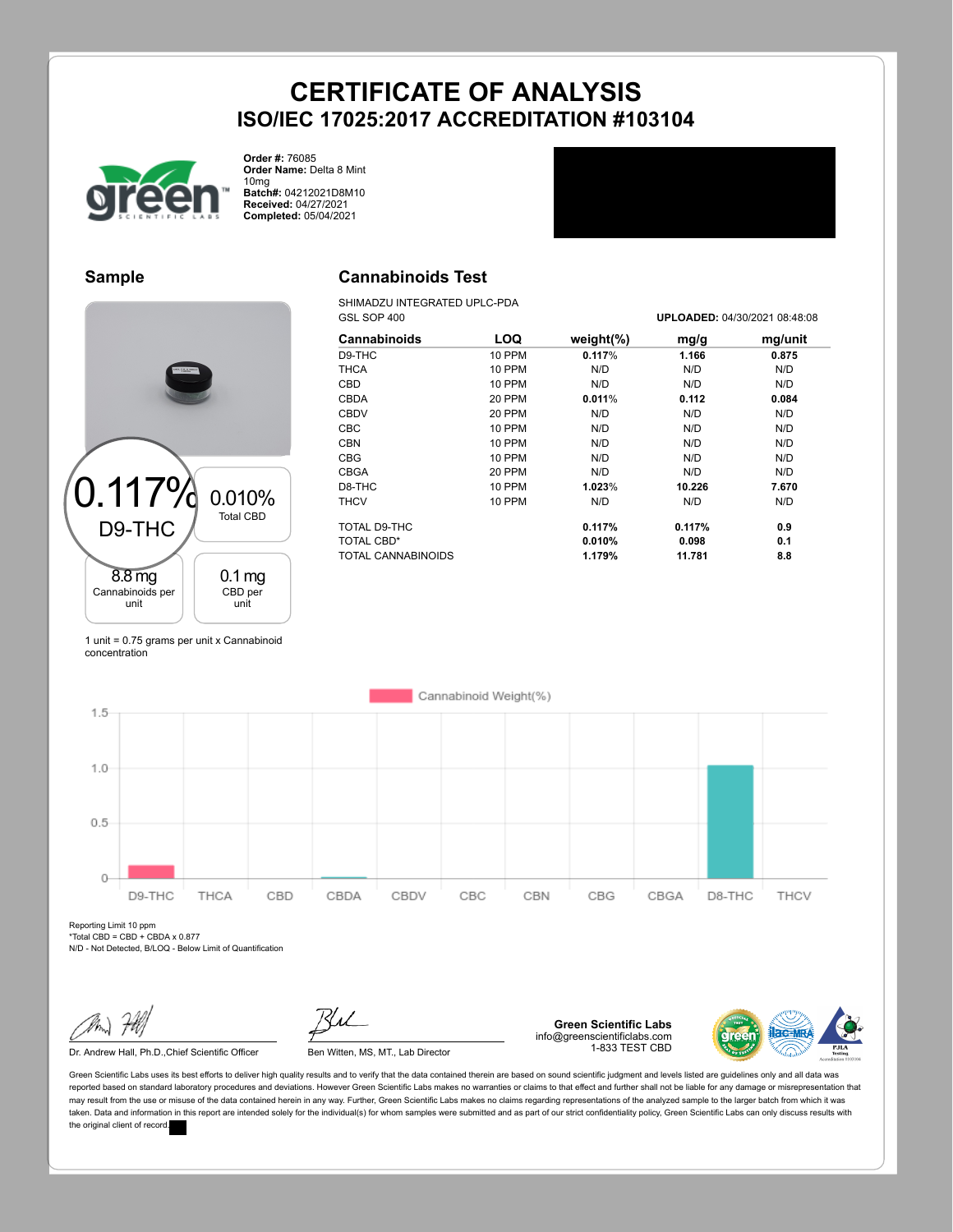

**Order #:** 76085 **Order Name:** Delta 8 Mint 10mg **Batch#:** 04212021D8M10

**Received:** 04/27/2021 **Completed:** 05/04/2021

#### **Sample**



#### **Cannabinoids Test**

SHIMADZU INTEGRATED UPLC-PDA<br>GSL SOP 400

| Cannabinoids       | LOQ           | weight $(\%)$ | mg/g   | mg/unit |
|--------------------|---------------|---------------|--------|---------|
| D9-THC             | <b>10 PPM</b> | 0.117%        | 1.166  | 0.875   |
| <b>THCA</b>        | <b>10 PPM</b> | N/D           | N/D    | N/D     |
| CBD                | <b>10 PPM</b> | N/D           | N/D    | N/D     |
| <b>CBDA</b>        | 20 PPM        | 0.011%        | 0.112  | 0.084   |
| <b>CBDV</b>        | 20 PPM        | N/D           | N/D    | N/D     |
| <b>CBC</b>         | <b>10 PPM</b> | N/D           | N/D    | N/D     |
| <b>CBN</b>         | <b>10 PPM</b> | N/D           | N/D    | N/D     |
| <b>CBG</b>         | <b>10 PPM</b> | N/D           | N/D    | N/D     |
| <b>CBGA</b>        | 20 PPM        | N/D           | N/D    | N/D     |
| D8-THC             | <b>10 PPM</b> | 1.023%        | 10.226 | 7.670   |
| <b>THCV</b>        | <b>10 PPM</b> | N/D           | N/D    | N/D     |
| TOTAL D9-THC       |               | 0.117%        | 0.117% | 0.9     |
| <b>TOTAL CBD*</b>  |               | 0.010%        | 0.098  | 0.1     |
| TOTAL CANNABINOIDS |               | 1.179%        | 11.781 | 8.8     |

GSL SOP 400 **UPLOADED:** 04/30/2021 08:48:08

1 unit = 0.75 grams per unit x Cannabinoid concentration



Reporting Limit 10 ppm  $*Total CBD = CBD + CBDA x 0.877$ 

N/D - Not Detected, B/LOQ - Below Limit of Quantification

Dr. Andrew Hall, Ph.D., Chief Scientific Officer Ben Witten, MS, MT., Lab Director

**Green Scientific Labs** info@greenscientificlabs.com 1-833 TEST CBD

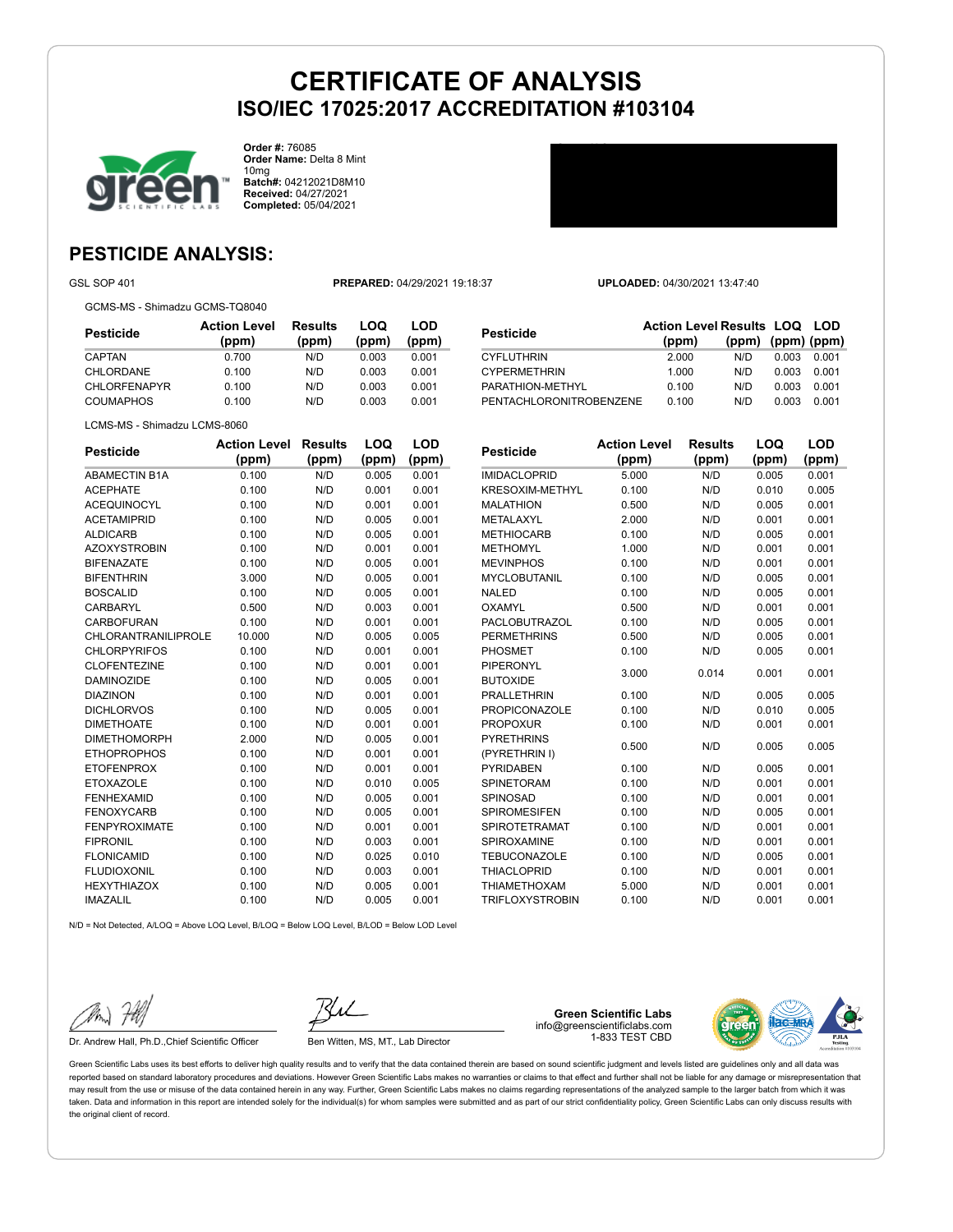

**Order #:** 76085 **Order Name:** Delta 8 Mint 10mg **Batch#:** 04212021D8M10 **Received:** 04/27/2021 **Completed:** 05/04/2021



### **PESTICIDE ANALYSIS:**

GCMS-MS - Shimadzu GCMS-TQ8040

GSL SOP 401 **PREPARED:** 04/29/2021 19:18:37 **UPLOADED:** 04/30/2021 13:47:40

| Pesticide           | <b>Action Level</b><br>(ppm) | Results<br>(ppm) | LOQ<br>(ppm) | LOD<br>(ppm) |
|---------------------|------------------------------|------------------|--------------|--------------|
| CAPTAN              | 0.700                        | N/D              | 0.003        | 0.001        |
| CHLORDANE           | 0.100                        | N/D              | 0.003        | 0.001        |
| <b>CHLORFENAPYR</b> | 0.100                        | N/D              | 0.003        | 0.001        |
| COUMAPHOS           | 0.100                        | N/D              | 0.003        | 0.001        |

| Pesticide               | <b>Action Level Results LOQ LOD</b> |                         |       |       |
|-------------------------|-------------------------------------|-------------------------|-------|-------|
|                         | (ppm)                               | $(ppm)$ $(ppm)$ $(ppm)$ |       |       |
| CYFLUTHRIN              | 2.000                               | N/D.                    | 0.003 | 0.001 |
| <b>CYPERMETHRIN</b>     | 1.000                               | N/D                     | 0.003 | 0.001 |
| PARATHION-METHYL        | 0.100                               | N/D                     | 0.003 | 0.001 |
| PENTACHLORONITROBENZENE | 0.100                               | N/D                     | 0.003 | 0.001 |
|                         |                                     |                         |       |       |

**LOQ**

**LOD**

LCMS-MS - Shimadzu LCMS-8060

| <b>Pesticide</b>     | <b>Action Level</b> | <b>Results</b> | LOQ   | LOD   |
|----------------------|---------------------|----------------|-------|-------|
|                      | (ppm)               | (ppm)          | (ppm) | (ppm) |
| <b>ABAMECTIN B1A</b> | 0.100               | N/D            | 0.005 | 0.001 |
| <b>ACEPHATE</b>      | 0.100               | N/D            | 0.001 | 0.001 |
| <b>ACEQUINOCYL</b>   | 0.100               | N/D            | 0.001 | 0.001 |
| <b>ACETAMIPRID</b>   | 0.100               | N/D            | 0.005 | 0.001 |
| <b>ALDICARB</b>      | 0.100               | N/D            | 0.005 | 0.001 |
| <b>AZOXYSTROBIN</b>  | 0.100               | N/D            | 0.001 | 0.001 |
| <b>BIFENAZATE</b>    | 0.100               | N/D            | 0.005 | 0.001 |
| <b>BIFENTHRIN</b>    | 3.000               | N/D            | 0.005 | 0.001 |
| <b>BOSCALID</b>      | 0.100               | N/D            | 0.005 | 0.001 |
| CARBARYL             | 0.500               | N/D            | 0.003 | 0.001 |
| <b>CARBOFURAN</b>    | 0.100               | N/D            | 0.001 | 0.001 |
| CHLORANTRANILIPROLE  | 10.000              | N/D            | 0.005 | 0.005 |
| <b>CHLORPYRIFOS</b>  | 0.100               | N/D            | 0.001 | 0.001 |
| <b>CLOFENTEZINE</b>  | 0.100               | N/D            | 0.001 | 0.001 |
| <b>DAMINOZIDE</b>    | 0.100               | N/D            | 0.005 | 0.001 |
| <b>DIAZINON</b>      | 0.100               | N/D            | 0.001 | 0.001 |
| <b>DICHLORVOS</b>    | 0.100               | N/D            | 0.005 | 0.001 |
| <b>DIMETHOATE</b>    | 0.100               | N/D            | 0.001 | 0.001 |
| <b>DIMETHOMORPH</b>  | 2.000               | N/D            | 0.005 | 0.001 |
| <b>ETHOPROPHOS</b>   | 0.100               | N/D            | 0.001 | 0.001 |
| <b>ETOFENPROX</b>    | 0.100               | N/D            | 0.001 | 0.001 |
| <b>ETOXAZOLE</b>     | 0.100               | N/D            | 0.010 | 0.005 |
| <b>FENHEXAMID</b>    | 0.100               | N/D            | 0.005 | 0.001 |
| <b>FENOXYCARB</b>    | 0.100               | N/D            | 0.005 | 0.001 |
| <b>FENPYROXIMATE</b> | 0.100               | N/D            | 0.001 | 0.001 |
| <b>FIPRONIL</b>      | 0.100               | N/D            | 0.003 | 0.001 |
| <b>FLONICAMID</b>    | 0.100               | N/D            | 0.025 | 0.010 |
| <b>FLUDIOXONIL</b>   | 0.100               | N/D            | 0.003 | 0.001 |
| <b>HEXYTHIAZOX</b>   | 0.100               | N/D            | 0.005 | 0.001 |
| <b>IMAZALIL</b>      | 0.100               | N/D            | 0.005 | 0.001 |

| <b>Pesticide</b>       | <b>Action Level</b> | <b>Results</b> | LOQ   | LOD   |
|------------------------|---------------------|----------------|-------|-------|
|                        | (ppm)               | (ppm)          | (ppm) | (ppm) |
| <b>IMIDACLOPRID</b>    | 5.000               | N/D            | 0.005 | 0.001 |
| <b>KRESOXIM-METHYL</b> | 0.100               | N/D            | 0.010 | 0.005 |
| <b>MALATHION</b>       | 0.500               | N/D            | 0.005 | 0.001 |
| METALAXYL              | 2.000               | N/D            | 0.001 | 0.001 |
| <b>METHIOCARB</b>      | 0.100               | N/D            | 0.005 | 0.001 |
| <b>METHOMYL</b>        | 1.000               | N/D            | 0.001 | 0.001 |
| <b>MEVINPHOS</b>       | 0.100               | N/D            | 0.001 | 0.001 |
| <b>MYCLOBUTANIL</b>    | 0.100               | N/D            | 0.005 | 0.001 |
| <b>NALED</b>           | 0.100               | N/D            | 0.005 | 0.001 |
| OXAMYL                 | 0.500               | N/D            | 0.001 | 0.001 |
| <b>PACLOBUTRAZOL</b>   | 0.100               | N/D            | 0.005 | 0.001 |
| <b>PERMETHRINS</b>     | 0.500               | N/D            | 0.005 | 0.001 |
| <b>PHOSMET</b>         | 0.100               | N/D            | 0.005 | 0.001 |
| <b>PIPERONYL</b>       | 3.000               | 0.014          | 0.001 | 0.001 |
| <b>BUTOXIDE</b>        |                     |                |       |       |
| <b>PRALLETHRIN</b>     | 0.100               | N/D            | 0.005 | 0.005 |
| <b>PROPICONAZOLE</b>   | 0.100               | N/D            | 0.010 | 0.005 |
| <b>PROPOXUR</b>        | 0.100               | N/D            | 0.001 | 0.001 |
| <b>PYRETHRINS</b>      | 0.500               | N/D            | 0.005 | 0.005 |
| (PYRETHRIN I)          |                     |                |       |       |
| <b>PYRIDABEN</b>       | 0.100               | N/D            | 0.005 | 0.001 |
| <b>SPINETORAM</b>      | 0.100               | N/D            | 0.001 | 0.001 |
| SPINOSAD               | 0.100               | N/D            | 0.001 | 0.001 |
| SPIROMESIFEN           | 0.100               | N/D            | 0.005 | 0.001 |
| <b>SPIROTETRAMAT</b>   | 0.100               | N/D            | 0.001 | 0.001 |
| SPIROXAMINE            | 0.100               | N/D            | 0.001 | 0.001 |
| <b>TEBUCONAZOLE</b>    | 0.100               | N/D            | 0.005 | 0.001 |
| <b>THIACLOPRID</b>     | 0.100               | N/D            | 0.001 | 0.001 |
| <b>THIAMETHOXAM</b>    | 5.000               | N/D            | 0.001 | 0.001 |

TRIFLOXYSTROBIN 0.100 N/D 0.001 0.001

N/D = Not Detected, A/LOQ = Above LOQ Level, B/LOQ = Below LOQ Level, B/LOD = Below LOD Level

Dr. Andrew Hall, Ph.D., Chief Scientific Officer Ben Witten, MS, MT., Lab Director

**Green Scientific Labs** info@greenscientificlabs.com 1-833 TEST CBD

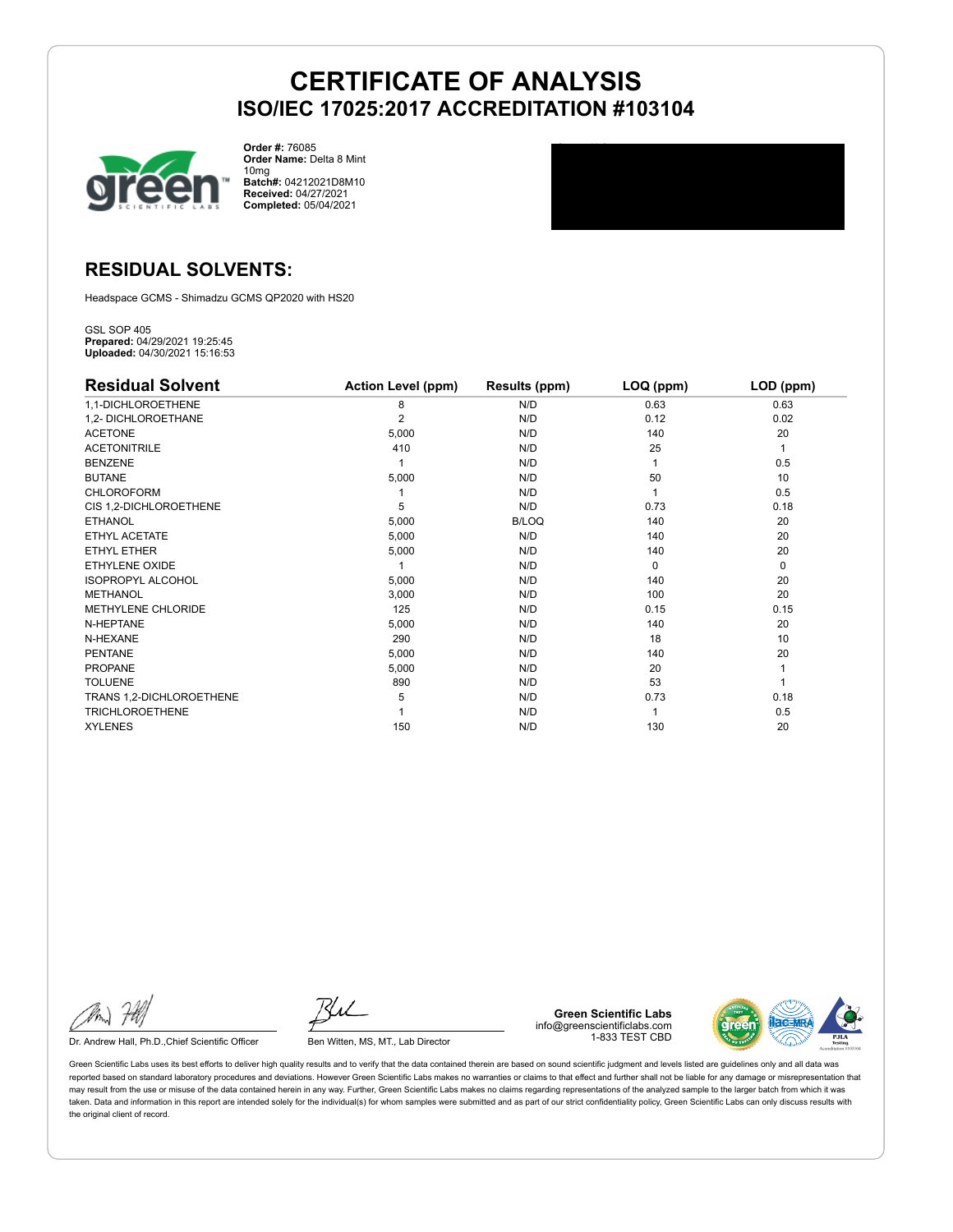

**Order #:** 76085 **Order Name:** Delta 8 Mint 10mg **Batch#:** 04212021D8M10 **Received:** 04/27/2021 **Completed:** 05/04/2021

### **RESIDUAL SOLVENTS:**

Headspace GCMS - Shimadzu GCMS QP2020 with HS20

GSL SOP 405 **Prepared:** 04/29/2021 19:25:45 **Uploaded:** 04/30/2021 15:16:53

| <b>Residual Solvent</b>   | <b>Action Level (ppm)</b> | Results (ppm) | LOQ (ppm) | LOD (ppm) |
|---------------------------|---------------------------|---------------|-----------|-----------|
| 1,1-DICHLOROETHENE        | 8                         | N/D           | 0.63      | 0.63      |
| 1,2- DICHLOROETHANE       | $\overline{2}$            | N/D           | 0.12      | 0.02      |
| <b>ACETONE</b>            | 5,000                     | N/D           | 140       | 20        |
| <b>ACETONITRILE</b>       | 410                       | N/D           | 25        | 1         |
| <b>BENZENE</b>            |                           | N/D           |           | 0.5       |
| <b>BUTANE</b>             | 5,000                     | N/D           | 50        | 10        |
| <b>CHLOROFORM</b>         |                           | N/D           |           | 0.5       |
| CIS 1,2-DICHLOROETHENE    | 5                         | N/D           | 0.73      | 0.18      |
| <b>ETHANOL</b>            | 5,000                     | B/LOQ         | 140       | 20        |
| ETHYL ACETATE             | 5,000                     | N/D           | 140       | 20        |
| ETHYL ETHER               | 5,000                     | N/D           | 140       | 20        |
| ETHYLENE OXIDE            |                           | N/D           | $\Omega$  | 0         |
| <b>ISOPROPYL ALCOHOL</b>  | 5,000                     | N/D           | 140       | 20        |
| <b>METHANOL</b>           | 3,000                     | N/D           | 100       | 20        |
| <b>METHYLENE CHLORIDE</b> | 125                       | N/D           | 0.15      | 0.15      |
| N-HEPTANE                 | 5,000                     | N/D           | 140       | 20        |
| N-HEXANE                  | 290                       | N/D           | 18        | 10        |
| <b>PENTANE</b>            | 5,000                     | N/D           | 140       | 20        |
| <b>PROPANE</b>            | 5,000                     | N/D           | 20        |           |
| <b>TOLUENE</b>            | 890                       | N/D           | 53        |           |
| TRANS 1,2-DICHLOROETHENE  | 5                         | N/D           | 0.73      | 0.18      |
| <b>TRICHLOROETHENE</b>    |                           | N/D           |           | 0.5       |
| <b>XYLENES</b>            | 150                       | N/D           | 130       | 20        |

Dr. Andrew Hall, Ph.D., Chief Scientific Officer Ben Witten, MS, MT., Lab Director

**Green Scientific Labs** info@greenscientificlabs.com 1-833 TEST CBD

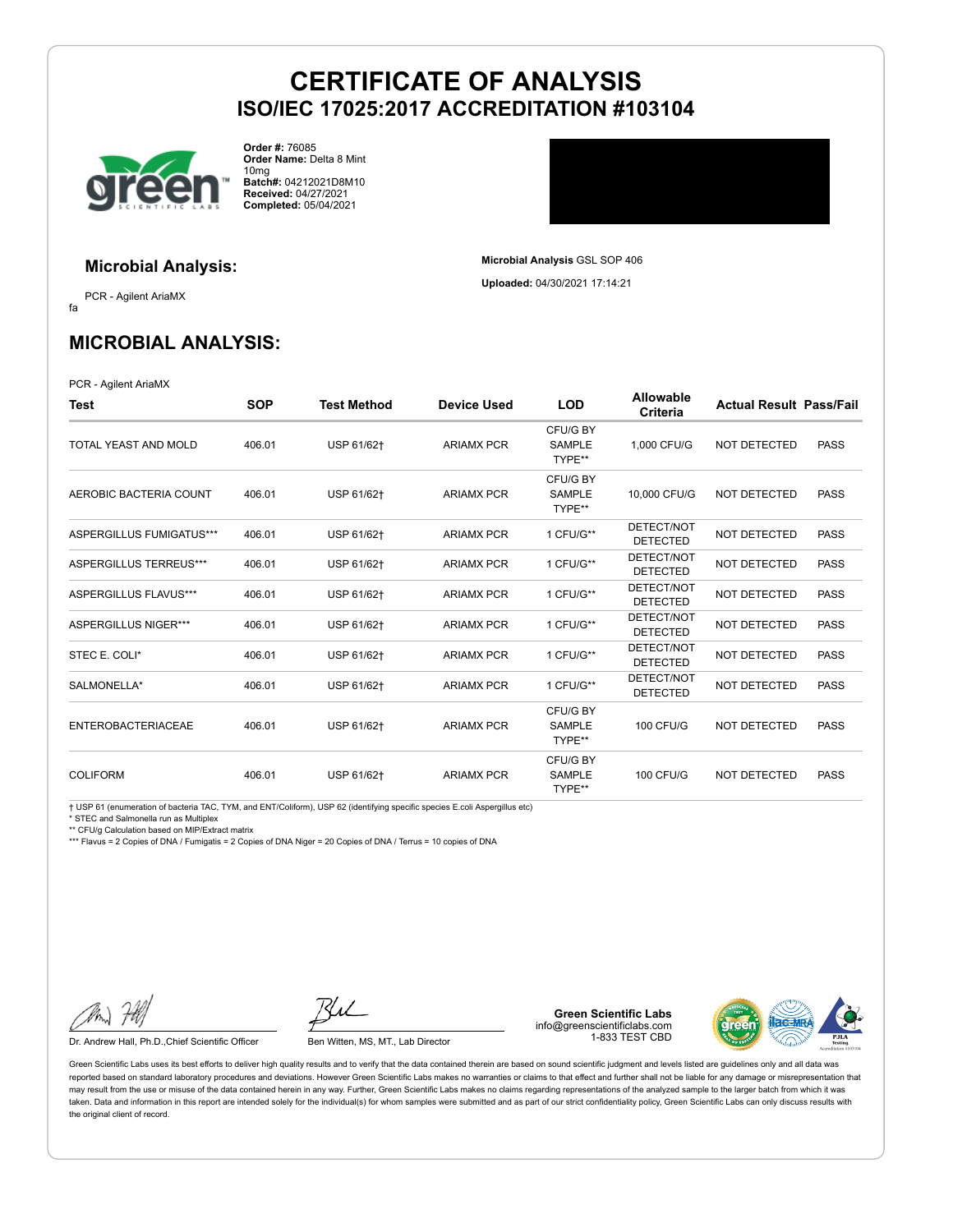

**Microbial Analysis:**

**Order #:** 76085 **Order Name:** Delta 8 Mint 10mg **Batch#:** 04212021D8M10 **Received:** 04/27/2021 **Completed:** 05/04/2021

# **Microbial Analysis** GSL SOP 406 **Uploaded:** 04/30/2021 17:14:21

fa PCR - Agilent AriaMX

### **MICROBIAL ANALYSIS:**

PCR - Agilent AriaMX

| Test                        | <b>SOP</b> | <b>Test Method</b> | <b>Device Used</b> | <b>LOD</b>                          | <b>Allowable</b><br>Criteria  | <b>Actual Result Pass/Fail</b> |             |
|-----------------------------|------------|--------------------|--------------------|-------------------------------------|-------------------------------|--------------------------------|-------------|
| TOTAL YEAST AND MOLD        | 406.01     | USP 61/62+         | <b>ARIAMX PCR</b>  | CFU/G BY<br><b>SAMPLE</b><br>TYPE** | 1,000 CFU/G                   | <b>NOT DETECTED</b>            | <b>PASS</b> |
| AEROBIC BACTERIA COUNT      | 406.01     | USP 61/62+         | <b>ARIAMX PCR</b>  | CFU/G BY<br><b>SAMPLE</b><br>TYPE** | 10,000 CFU/G                  | NOT DETECTED                   | <b>PASS</b> |
| ASPERGILLUS FUMIGATUS***    | 406.01     | USP 61/62+         | <b>ARIAMX PCR</b>  | 1 CFU/G**                           | DETECT/NOT<br><b>DETECTED</b> | <b>NOT DETECTED</b>            | <b>PASS</b> |
| ASPERGILLUS TERREUS***      | 406.01     | USP 61/62+         | <b>ARIAMX PCR</b>  | 1 CFU/G**                           | DETECT/NOT<br><b>DETECTED</b> | <b>NOT DETECTED</b>            | <b>PASS</b> |
| ASPERGILLUS FLAVUS***       | 406.01     | USP 61/62+         | <b>ARIAMX PCR</b>  | 1 CFU/G**                           | DETECT/NOT<br><b>DETECTED</b> | <b>NOT DETECTED</b>            | <b>PASS</b> |
| <b>ASPERGILLUS NIGER***</b> | 406.01     | USP 61/62+         | <b>ARIAMX PCR</b>  | 1 CFU/G**                           | DETECT/NOT<br><b>DETECTED</b> | NOT DETECTED                   | <b>PASS</b> |
| STEC E. COLI*               | 406.01     | USP 61/62+         | <b>ARIAMX PCR</b>  | 1 CFU/G**                           | DETECT/NOT<br><b>DETECTED</b> | NOT DETECTED                   | <b>PASS</b> |
| SALMONELLA*                 | 406.01     | USP 61/62+         | <b>ARIAMX PCR</b>  | 1 CFU/G**                           | DETECT/NOT<br><b>DETECTED</b> | NOT DETECTED                   | <b>PASS</b> |
| <b>ENTEROBACTERIACEAE</b>   | 406.01     | USP 61/62+         | <b>ARIAMX PCR</b>  | CFU/G BY<br>SAMPLE<br>TYPE**        | <b>100 CFU/G</b>              | <b>NOT DETECTED</b>            | <b>PASS</b> |
| <b>COLIFORM</b>             | 406.01     | USP 61/62+         | <b>ARIAMX PCR</b>  | CFU/G BY<br><b>SAMPLE</b><br>TYPE** | <b>100 CFU/G</b>              | <b>NOT DETECTED</b>            | <b>PASS</b> |

† USP 61 (enumeration of bacteria TAC, TYM, and ENT/Coliform), USP 62 (identifying specific species E.coli Aspergillus etc)

\* STEC and Salmonella run as Multiplex \*\* CFU/g Calculation based on MIP/Extract matrix

\*\*\* Flavus = 2 Copies of DNA / Fumigatis = 2 Copies of DNA Niger = 20 Copies of DNA / Terrus = 10 copies of DNA

Dr. Andrew Hall, Ph.D., Chief Scientific Officer Ben Witten, MS, MT., Lab Director

**Green Scientific Labs** info@greenscientificlabs.com 1-833 TEST CBD